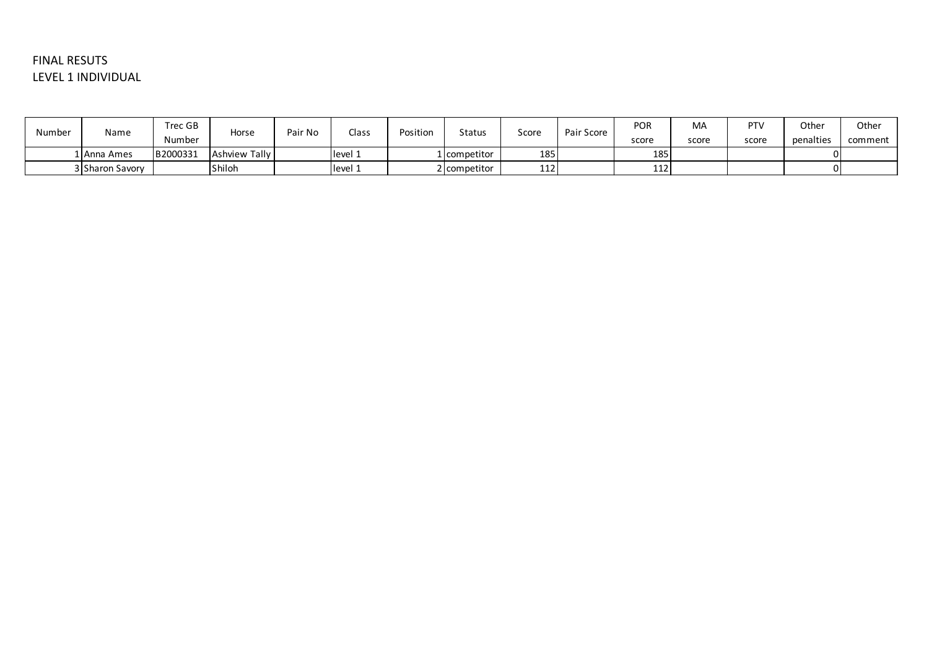## FINAL RESUTS LEVEL 1 INDIVIDUAL

| Number | Name            | Trec GB  | Horse                | Pair No | Class   | Position | <b>Status</b> | Score | Pair Score | <b>POR</b> | MA    | PT <sub>\</sub> | Other     | Other   |
|--------|-----------------|----------|----------------------|---------|---------|----------|---------------|-------|------------|------------|-------|-----------------|-----------|---------|
|        |                 | Number   |                      |         |         |          |               |       |            | score      | score | score           | penalties | comment |
|        | 1 Anna Ames     | B2000331 | <b>Ashview Tally</b> |         | level 1 |          | 1 competitor  | 185   |            | 185        |       |                 |           |         |
|        | 3 Sharon Savory |          | <b>Shiloh</b>        |         | level 1 |          | 2 competitor  | 112   |            | 112        |       |                 |           |         |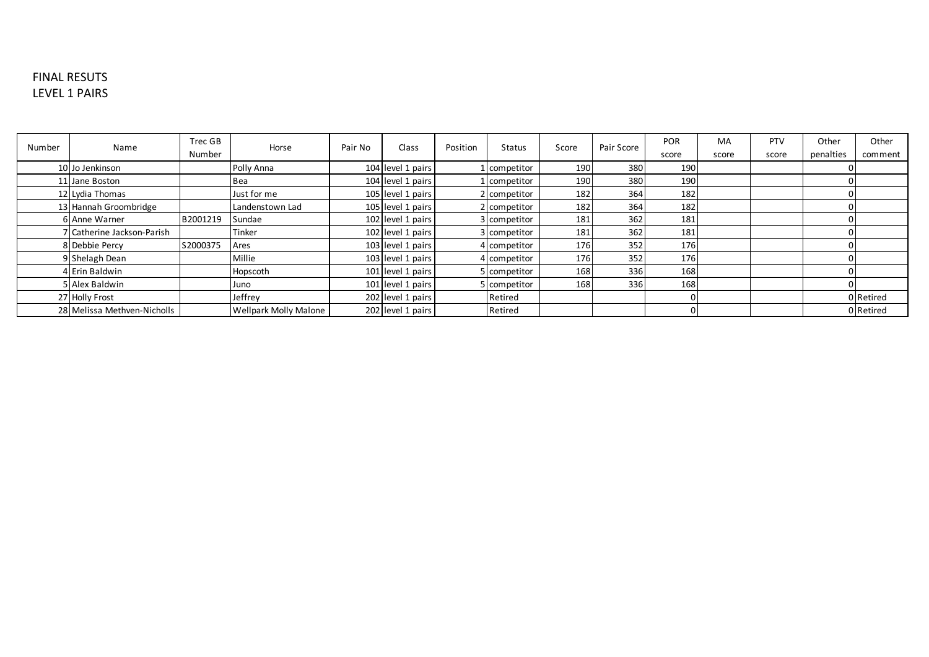## FINAL RESUTS LEVEL 1 PAIRS

| Number | Name                        | Trec GB  | Horse                        | Pair No | Class             | Position | <b>Status</b> | Score | Pair Score | <b>POR</b> | MA    | PTV   | Other     | Other     |
|--------|-----------------------------|----------|------------------------------|---------|-------------------|----------|---------------|-------|------------|------------|-------|-------|-----------|-----------|
|        |                             | Number   |                              |         |                   |          |               |       |            | score      | score | score | penalties | comment   |
|        | 10 Jo Jenkinson             |          | Polly Anna                   |         | 104 level 1 pairs |          | competitor    | 190   | 380        | 190        |       |       |           |           |
|        | 11 Jane Boston              |          | Bea                          |         | 104 level 1 pairs |          | L competitor  | 190   | 380        | 190        |       |       |           |           |
|        | 12 Lydia Thomas             |          | Just for me                  |         | 105 level 1 pairs |          | 2 competitor  | 182   | 364        | 182        |       |       |           |           |
|        | 13 Hannah Groombridge       |          | Landenstown Lad              |         | 105 level 1 pairs |          | 2 competitor  | 182   | 364        | 182        |       |       |           |           |
|        | 6 Anne Warner               | B2001219 | Sundae                       |         | 102 level 1 pairs |          | 3 competitor  | 181   | 362        | 181        |       |       |           |           |
|        | / Catherine Jackson-Parish  |          | Tinker                       |         | 102 level 1 pairs |          | 3 competitor  | 181   | 362        | 181        |       |       |           |           |
|        | 8 Debbie Percy              | S2000375 | Ares                         |         | 103 level 1 pairs |          | 4 competitor  | 176   | 352        | 176        |       |       |           |           |
|        | 9 Shelagh Dean              |          | Millie                       |         | 103 level 1 pairs |          | 4 competitor  | 176   | 352        | 176        |       |       |           |           |
|        | 4 Erin Baldwin              |          | Hopscoth                     |         | 101 level 1 pairs |          | 5 competitor  | 168   | 336        | 168        |       |       |           |           |
|        | 5 Alex Baldwin              |          | Juno                         |         | 101 level 1 pairs |          | competitor    | 168   | 336        | 168        |       |       |           |           |
|        | 27 Holly Frost              |          | Jeffrey                      |         | 202 level 1 pairs |          | Retired       |       |            |            |       |       |           | 0 Retired |
|        | 28 Melissa Methven-Nicholls |          | <b>Wellpark Molly Malone</b> |         | 202 level 1 pairs |          | Retired       |       |            |            |       |       |           | 0 Retired |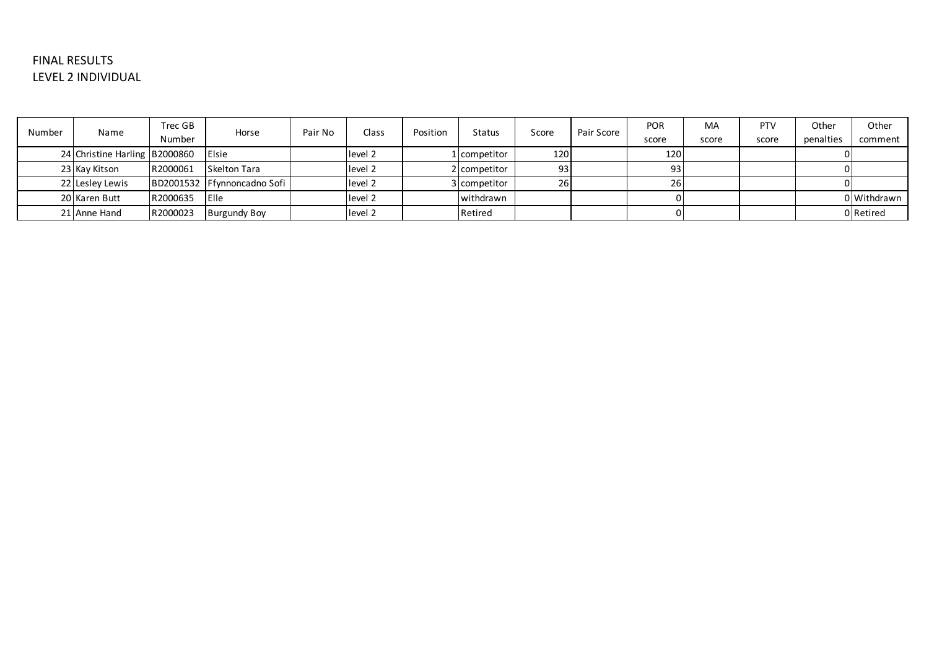## FINAL RESULTS LEVEL 2 INDIVIDUAL

| Number | Name                          | Trec GB<br>Number | Horse                       | Pair No | Class              | Position | Status       | Score | Pair Score | <b>POR</b><br>score | MA<br>score | <b>PTV</b><br>score | Other<br>penalties | Other<br>comment |
|--------|-------------------------------|-------------------|-----------------------------|---------|--------------------|----------|--------------|-------|------------|---------------------|-------------|---------------------|--------------------|------------------|
|        | 24 Christine Harling B2000860 |                   | <b>IElsie</b>               |         | level <sub>2</sub> |          | 1 competitor | 120   |            | 120                 |             |                     |                    |                  |
|        | 23 Kay Kitson                 | R2000061          | Skelton Tara                |         | level 2            |          | 2 competitor | 931   |            | 931                 |             |                     |                    |                  |
|        | 22 Lesley Lewis               |                   | BD2001532 Ffynnoncadno Sofi |         | level 2            |          | 3 competitor | 26.   |            | <b>26</b>           |             |                     |                    |                  |
|        | 20 Karen Butt                 | R2000635          | <b>IElle</b>                |         | level 2            |          | withdrawn    |       |            |                     |             |                     |                    | 0 Withdrawn      |
|        | 21 Anne Hand                  | R2000023          | <b>Burgundy Boy</b>         |         | level 2            |          | Retired      |       |            |                     |             |                     |                    | 0 Retired        |